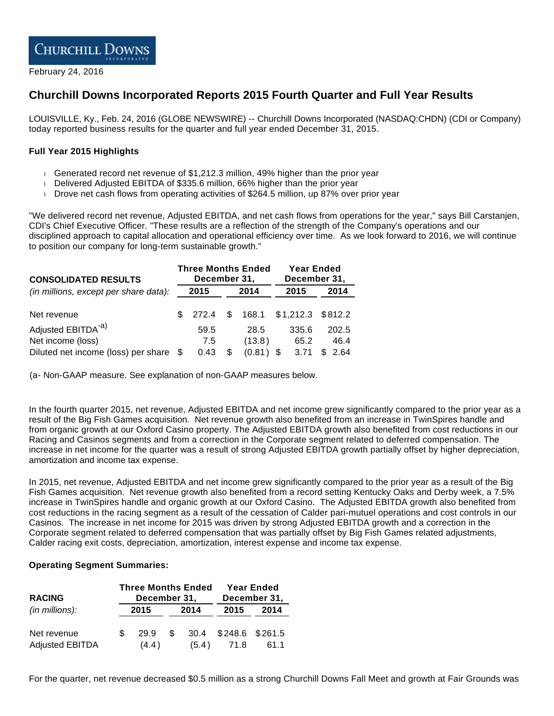

February 24, 2016

# **Churchill Downs Incorporated Reports 2015 Fourth Quarter and Full Year Results**

LOUISVILLE, Ky., Feb. 24, 2016 (GLOBE NEWSWIRE) -- Churchill Downs Incorporated (NASDAQ:CHDN) (CDI or Company) today reported business results for the quarter and full year ended December 31, 2015.

#### **Full Year 2015 Highlights**

- Generated record net revenue of \$1,212.3 million, 49% higher than the prior year
- Delivered Adjusted EBITDA of \$335.6 million, 66% higher than the prior year
- Drove net cash flows from operating activities of \$264.5 million, up 87% over prior year

"We delivered record net revenue, Adjusted EBITDA, and net cash flows from operations for the year," says Bill Carstanjen, CDI's Chief Executive Officer. "These results are a reflection of the strength of the Company's operations and our disciplined approach to capital allocation and operational efficiency over time. As we look forward to 2016, we will continue to position our company for long-term sustainable growth."

| <b>CONSOLIDATED RESULTS</b>           | <b>Three Months Ended</b><br>December 31, |         |    |        |      | <b>Year Ended</b><br>December 31, |      |         |  |
|---------------------------------------|-------------------------------------------|---------|----|--------|------|-----------------------------------|------|---------|--|
| (in millions, except per share data): |                                           | 2015    |    | 2014   | 2015 |                                   | 2014 |         |  |
| Net revenue                           |                                           | \$272.4 | \$ | 168.1  |      | $$1,212.3$ $$812.2$               |      |         |  |
| Adjusted EBITDA <sup>-a)</sup>        |                                           | 59.5    |    | 28.5   |      | 335.6                             |      | 202.5   |  |
| Net income (loss)                     |                                           | 7.5     |    | (13.8) |      | 65.2                              |      | 46.4    |  |
| Diluted net income (loss) per share   | - \$                                      | 0.43    |    | (0.81) |      | 3.71                              |      | \$ 2.64 |  |

(a- Non-GAAP measure. See explanation of non-GAAP measures below.

In the fourth quarter 2015, net revenue, Adjusted EBITDA and net income grew significantly compared to the prior year as a result of the Big Fish Games acquisition. Net revenue growth also benefited from an increase in TwinSpires handle and from organic growth at our Oxford Casino property. The Adjusted EBITDA growth also benefited from cost reductions in our Racing and Casinos segments and from a correction in the Corporate segment related to deferred compensation. The increase in net income for the quarter was a result of strong Adjusted EBITDA growth partially offset by higher depreciation, amortization and income tax expense.

In 2015, net revenue, Adjusted EBITDA and net income grew significantly compared to the prior year as a result of the Big Fish Games acquisition. Net revenue growth also benefited from a record setting Kentucky Oaks and Derby week, a 7.5% increase in TwinSpires handle and organic growth at our Oxford Casino. The Adjusted EBITDA growth also benefited from cost reductions in the racing segment as a result of the cessation of Calder pari-mutuel operations and cost controls in our Casinos. The increase in net income for 2015 was driven by strong Adjusted EBITDA growth and a correction in the Corporate segment related to deferred compensation that was partially offset by Big Fish Games related adjustments, Calder racing exit costs, depreciation, amortization, interest expense and income tax expense.

#### **Operating Segment Summaries:**

| <b>RACING</b>          |     | <b>Three Months Ended</b><br>December 31, |      |       |                 | <b>Year Ended</b><br>December 31, |
|------------------------|-----|-------------------------------------------|------|-------|-----------------|-----------------------------------|
| $(in$ millions):       |     | 2015                                      | 2014 |       | 2015            | 2014                              |
| Net revenue            | \$. | 29.9                                      | \$.  | 30.4  | \$248.6 \$261.5 |                                   |
| <b>Adjusted EBITDA</b> |     | (4.4)                                     |      | (5.4) | 71.8            | 61.1                              |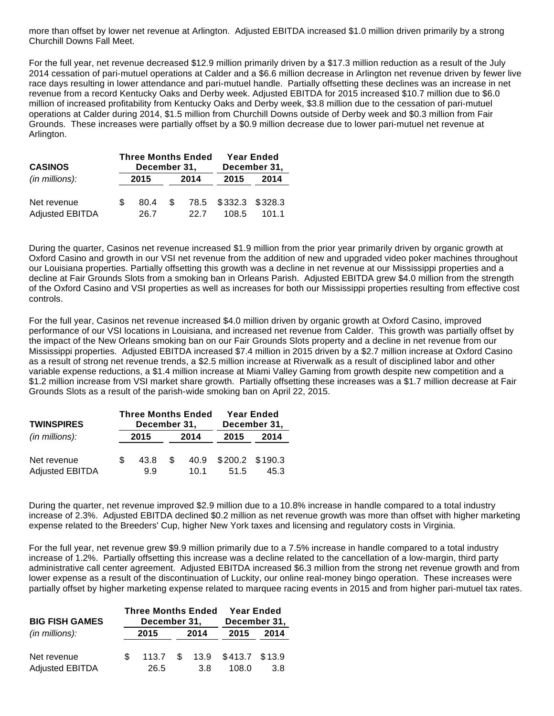more than offset by lower net revenue at Arlington. Adjusted EBITDA increased \$1.0 million driven primarily by a strong Churchill Downs Fall Meet.

For the full year, net revenue decreased \$12.9 million primarily driven by a \$17.3 million reduction as a result of the July 2014 cessation of pari-mutuel operations at Calder and a \$6.6 million decrease in Arlington net revenue driven by fewer live race days resulting in lower attendance and pari-mutuel handle. Partially offsetting these declines was an increase in net revenue from a record Kentucky Oaks and Derby week. Adjusted EBITDA for 2015 increased \$10.7 million due to \$6.0 million of increased profitability from Kentucky Oaks and Derby week, \$3.8 million due to the cessation of pari-mutuel operations at Calder during 2014, \$1.5 million from Churchill Downs outside of Derby week and \$0.3 million from Fair Grounds. These increases were partially offset by a \$0.9 million decrease due to lower pari-mutuel net revenue at Arlington.

| <b>CASINOS</b>                        |     | December 31, |     | <b>Three Months Ended</b> |                               | <b>Year Ended</b><br>December 31, |
|---------------------------------------|-----|--------------|-----|---------------------------|-------------------------------|-----------------------------------|
| (in millions):                        |     | 2015         |     | 2014                      | 2015                          | 2014                              |
| Net revenue<br><b>Adjusted EBITDA</b> | \$. | 80.4<br>26.7 | \$. | 22.7                      | 78.5 \$332.3 \$328.3<br>108.5 | 101.1                             |

During the quarter, Casinos net revenue increased \$1.9 million from the prior year primarily driven by organic growth at Oxford Casino and growth in our VSI net revenue from the addition of new and upgraded video poker machines throughout our Louisiana properties. Partially offsetting this growth was a decline in net revenue at our Mississippi properties and a decline at Fair Grounds Slots from a smoking ban in Orleans Parish. Adjusted EBITDA grew \$4.0 million from the strength of the Oxford Casino and VSI properties as well as increases for both our Mississippi properties resulting from effective cost controls.

For the full year, Casinos net revenue increased \$4.0 million driven by organic growth at Oxford Casino, improved performance of our VSI locations in Louisiana, and increased net revenue from Calder. This growth was partially offset by the impact of the New Orleans smoking ban on our Fair Grounds Slots property and a decline in net revenue from our Mississippi properties. Adjusted EBITDA increased \$7.4 million in 2015 driven by a \$2.7 million increase at Oxford Casino as a result of strong net revenue trends, a \$2.5 million increase at Riverwalk as a result of disciplined labor and other variable expense reductions, a \$1.4 million increase at Miami Valley Gaming from growth despite new competition and a \$1.2 million increase from VSI market share growth. Partially offsetting these increases was a \$1.7 million decrease at Fair Grounds Slots as a result of the parish-wide smoking ban on April 22, 2015.

| <b>TWINSPIRES</b>      |      | <b>Three Months Ended</b><br>December 31, |     | <b>Year Ended</b><br>December 31, |                 |      |  |
|------------------------|------|-------------------------------------------|-----|-----------------------------------|-----------------|------|--|
| $(in$ millions):       | 2015 |                                           |     | 2014                              | 2014            |      |  |
| Net revenue            | £.   | 43.8                                      | \$. | 40.9                              | \$200.2 \$190.3 |      |  |
| <b>Adjusted EBITDA</b> |      | 9.9                                       |     | 10 $1$                            | 51.5            | 45.3 |  |

During the quarter, net revenue improved \$2.9 million due to a 10.8% increase in handle compared to a total industry increase of 2.3%. Adjusted EBITDA declined \$0.2 million as net revenue growth was more than offset with higher marketing expense related to the Breeders' Cup, higher New York taxes and licensing and regulatory costs in Virginia.

For the full year, net revenue grew \$9.9 million primarily due to a 7.5% increase in handle compared to a total industry increase of 1.2%. Partially offsetting this increase was a decline related to the cancellation of a low-margin, third party administrative call center agreement. Adjusted EBITDA increased \$6.3 million from the strong net revenue growth and from lower expense as a result of the discontinuation of Luckity, our online real-money bingo operation. These increases were partially offset by higher marketing expense related to marquee racing events in 2015 and from higher pari-mutuel tax rates.

| <b>BIG FISH GAMES</b>  | <b>Three Months Ended</b><br>December 31, |  | <b>Year Ended</b><br>December 31, |                        |      |  |
|------------------------|-------------------------------------------|--|-----------------------------------|------------------------|------|--|
| $(in$ millions):       | 2015                                      |  | 2014                              | 2015                   | 2014 |  |
| Net revenue            | 113.7                                     |  |                                   | \$ 13.9 \$413.7 \$13.9 |      |  |
| <b>Adjusted EBITDA</b> | 26.5                                      |  | 3.8                               | 108.0                  | 3.8  |  |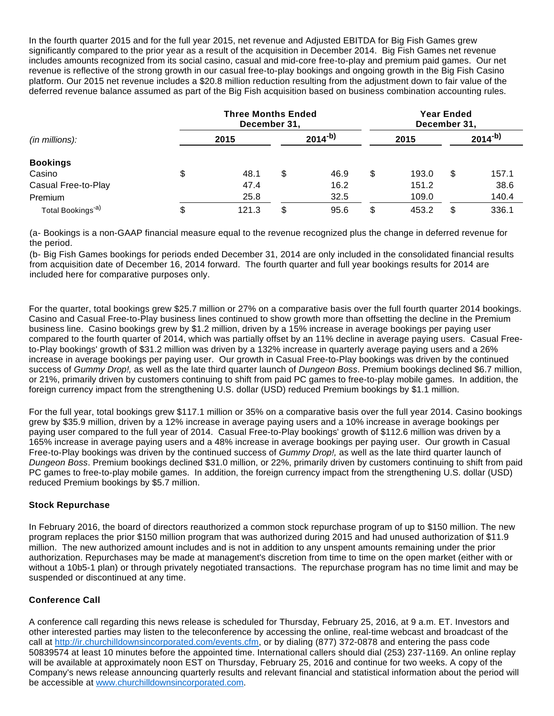In the fourth quarter 2015 and for the full year 2015, net revenue and Adjusted EBITDA for Big Fish Games grew significantly compared to the prior year as a result of the acquisition in December 2014. Big Fish Games net revenue includes amounts recognized from its social casino, casual and mid-core free-to-play and premium paid games. Our net revenue is reflective of the strong growth in our casual free-to-play bookings and ongoing growth in the Big Fish Casino platform. Our 2015 net revenue includes a \$20.8 million reduction resulting from the adjustment down to fair value of the deferred revenue balance assumed as part of the Big Fish acquisition based on business combination accounting rules.

|                               |    | <b>Three Months Ended</b><br>December 31, |             |      | <b>Year Ended</b><br>December 31, |       |             |       |  |
|-------------------------------|----|-------------------------------------------|-------------|------|-----------------------------------|-------|-------------|-------|--|
| $(in$ millions):              |    | 2015                                      | $2014^{-b}$ |      |                                   | 2015  | $2014^{-b}$ |       |  |
| <b>Bookings</b>               |    |                                           |             |      |                                   |       |             |       |  |
| Casino                        | \$ | 48.1                                      | \$          | 46.9 | \$                                | 193.0 | \$          | 157.1 |  |
| Casual Free-to-Play           |    | 47.4                                      |             | 16.2 |                                   | 151.2 |             | 38.6  |  |
| Premium                       |    | 25.8                                      |             | 32.5 |                                   | 109.0 |             | 140.4 |  |
| Total Bookings <sup>-a)</sup> | S  | 121.3                                     | \$          | 95.6 | \$                                | 453.2 | \$          | 336.1 |  |

(a- Bookings is a non-GAAP financial measure equal to the revenue recognized plus the change in deferred revenue for the period.

(b- Big Fish Games bookings for periods ended December 31, 2014 are only included in the consolidated financial results from acquisition date of December 16, 2014 forward. The fourth quarter and full year bookings results for 2014 are included here for comparative purposes only.

For the quarter, total bookings grew \$25.7 million or 27% on a comparative basis over the full fourth quarter 2014 bookings. Casino and Casual Free-to-Play business lines continued to show growth more than offsetting the decline in the Premium business line. Casino bookings grew by \$1.2 million, driven by a 15% increase in average bookings per paying user compared to the fourth quarter of 2014, which was partially offset by an 11% decline in average paying users. Casual Freeto-Play bookings' growth of \$31.2 million was driven by a 132% increase in quarterly average paying users and a 26% increase in average bookings per paying user. Our growth in Casual Free-to-Play bookings was driven by the continued success of Gummy Drop!, as well as the late third quarter launch of Dungeon Boss. Premium bookings declined \$6.7 million, or 21%, primarily driven by customers continuing to shift from paid PC games to free-to-play mobile games. In addition, the foreign currency impact from the strengthening U.S. dollar (USD) reduced Premium bookings by \$1.1 million.

For the full year, total bookings grew \$117.1 million or 35% on a comparative basis over the full year 2014. Casino bookings grew by \$35.9 million, driven by a 12% increase in average paying users and a 10% increase in average bookings per paying user compared to the full year of 2014. Casual Free-to-Play bookings' growth of \$112.6 million was driven by a 165% increase in average paying users and a 48% increase in average bookings per paying user. Our growth in Casual Free-to-Play bookings was driven by the continued success of Gummy Drop!, as well as the late third quarter launch of Dungeon Boss. Premium bookings declined \$31.0 million, or 22%, primarily driven by customers continuing to shift from paid PC games to free-to-play mobile games. In addition, the foreign currency impact from the strengthening U.S. dollar (USD) reduced Premium bookings by \$5.7 million.

# **Stock Repurchase**

In February 2016, the board of directors reauthorized a common stock repurchase program of up to \$150 million. The new program replaces the prior \$150 million program that was authorized during 2015 and had unused authorization of \$11.9 million. The new authorized amount includes and is not in addition to any unspent amounts remaining under the prior authorization. Repurchases may be made at management's discretion from time to time on the open market (either with or without a 10b5-1 plan) or through privately negotiated transactions. The repurchase program has no time limit and may be suspended or discontinued at any time.

# **Conference Call**

A conference call regarding this news release is scheduled for Thursday, February 25, 2016, at 9 a.m. ET. Investors and other interested parties may listen to the teleconference by accessing the online, real-time webcast and broadcast of the call at [http://ir.churchilldownsincorporated.com/events.cfm](http://www.globenewswire.com/Tracker?data=fMi_YkvDlhxLqfXbbVfdUjTGB0NJFhnw1f1jl7wffPHl5PvNUlCywyUe4MG2PaEGvD2KlqHQt2vn0cpa9m3s9gyElX02EM1b27y1SChO7jUWb3eAm0ct41ApY4twV7psndKqxF9Gc0hZoWJmHfYb7wSuUjRZIZiPHcc2DOVAYLs=), or by dialing (877) 372-0878 and entering the pass code 50839574 at least 10 minutes before the appointed time. International callers should dial (253) 237-1169. An online replay will be available at approximately noon EST on Thursday, February 25, 2016 and continue for two weeks. A copy of the Company's news release announcing quarterly results and relevant financial and statistical information about the period will be accessible at [www.churchilldownsincorporated.com](http://www.globenewswire.com/Tracker?data=e4FIP04FvsDUCRlpdK0xvxsFq3UIqzrHOqarCrymcfXcd_7Ri9jqAUHV0fKiHMHENYlcSHr7vBGrvacCDR-Tr8Z0hwrRsKUeAqqeLCfsextVEr2ak7cM7gcJwalItaCmUb-nz6748aY-H_Vk5ph74Q==).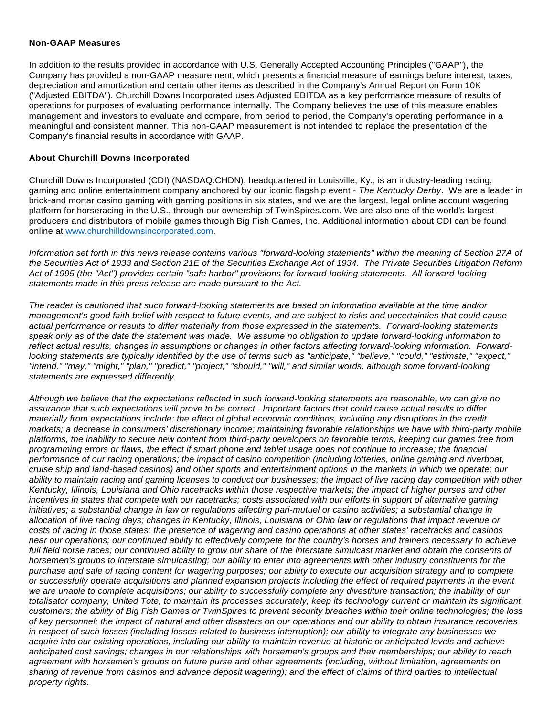#### **Non-GAAP Measures**

In addition to the results provided in accordance with U.S. Generally Accepted Accounting Principles ("GAAP"), the Company has provided a non-GAAP measurement, which presents a financial measure of earnings before interest, taxes, depreciation and amortization and certain other items as described in the Company's Annual Report on Form 10K ("Adjusted EBITDA"). Churchill Downs Incorporated uses Adjusted EBITDA as a key performance measure of results of operations for purposes of evaluating performance internally. The Company believes the use of this measure enables management and investors to evaluate and compare, from period to period, the Company's operating performance in a meaningful and consistent manner. This non-GAAP measurement is not intended to replace the presentation of the Company's financial results in accordance with GAAP.

#### **About Churchill Downs Incorporated**

Churchill Downs Incorporated (CDI) (NASDAQ:CHDN), headquartered in Louisville, Ky., is an industry-leading racing, gaming and online entertainment company anchored by our iconic flagship event - The Kentucky Derby. We are a leader in brick-and mortar casino gaming with gaming positions in six states, and we are the largest, legal online account wagering platform for horseracing in the U.S., through our ownership of TwinSpires.com. We are also one of the world's largest producers and distributors of mobile games through Big Fish Games, Inc. Additional information about CDI can be found online at [www.churchilldownsincorporated.com.](http://www.globenewswire.com/Tracker?data=e4FIP04FvsDUCRlpdK0xvxsFq3UIqzrHOqarCrymcfUDaBS4SR707SIlnZgP7ff9-5gGNmgDm3W7eRW4I7c99CKzadlZtS7H8eaiYKCuKsXDl5inXxuLxGIJ4jRLzswHyjfxx5pfivCH8uAaks0_6w==)

Information set forth in this news release contains various "forward-looking statements" within the meaning of Section 27A of the Securities Act of 1933 and Section 21E of the Securities Exchange Act of 1934. The Private Securities Litigation Reform Act of 1995 (the "Act") provides certain "safe harbor" provisions for forward-looking statements. All forward-looking statements made in this press release are made pursuant to the Act.

The reader is cautioned that such forward-looking statements are based on information available at the time and/or management's good faith belief with respect to future events, and are subject to risks and uncertainties that could cause actual performance or results to differ materially from those expressed in the statements. Forward-looking statements speak only as of the date the statement was made. We assume no obligation to update forward-looking information to reflect actual results, changes in assumptions or changes in other factors affecting forward-looking information. Forwardlooking statements are typically identified by the use of terms such as "anticipate," "believe," "could," "estimate," "expect," "intend," "may," "might," "plan," "predict," "project," "should," "will," and similar words, although some forward-looking statements are expressed differently.

Although we believe that the expectations reflected in such forward-looking statements are reasonable, we can give no assurance that such expectations will prove to be correct. Important factors that could cause actual results to differ materially from expectations include: the effect of global economic conditions, including any disruptions in the credit markets; a decrease in consumers' discretionary income; maintaining favorable relationships we have with third-party mobile platforms, the inability to secure new content from third-party developers on favorable terms, keeping our games free from programming errors or flaws, the effect if smart phone and tablet usage does not continue to increase; the financial performance of our racing operations; the impact of casino competition (including lotteries, online gaming and riverboat, cruise ship and land-based casinos) and other sports and entertainment options in the markets in which we operate; our ability to maintain racing and gaming licenses to conduct our businesses; the impact of live racing day competition with other Kentucky, Illinois, Louisiana and Ohio racetracks within those respective markets; the impact of higher purses and other incentives in states that compete with our racetracks; costs associated with our efforts in support of alternative gaming initiatives; a substantial change in law or regulations affecting pari-mutuel or casino activities; a substantial change in allocation of live racing days; changes in Kentucky, Illinois, Louisiana or Ohio law or regulations that impact revenue or costs of racing in those states; the presence of wagering and casino operations at other states' racetracks and casinos near our operations; our continued ability to effectively compete for the country's horses and trainers necessary to achieve full field horse races; our continued ability to grow our share of the interstate simulcast market and obtain the consents of horsemen's groups to interstate simulcasting; our ability to enter into agreements with other industry constituents for the purchase and sale of racing content for wagering purposes; our ability to execute our acquisition strategy and to complete or successfully operate acquisitions and planned expansion projects including the effect of required payments in the event we are unable to complete acquisitions; our ability to successfully complete any divestiture transaction; the inability of our totalisator company, United Tote, to maintain its processes accurately, keep its technology current or maintain its significant customers; the ability of Big Fish Games or TwinSpires to prevent security breaches within their online technologies; the loss of key personnel; the impact of natural and other disasters on our operations and our ability to obtain insurance recoveries in respect of such losses (including losses related to business interruption); our ability to integrate any businesses we acquire into our existing operations, including our ability to maintain revenue at historic or anticipated levels and achieve anticipated cost savings; changes in our relationships with horsemen's groups and their memberships; our ability to reach agreement with horsemen's groups on future purse and other agreements (including, without limitation, agreements on sharing of revenue from casinos and advance deposit wagering); and the effect of claims of third parties to intellectual property rights.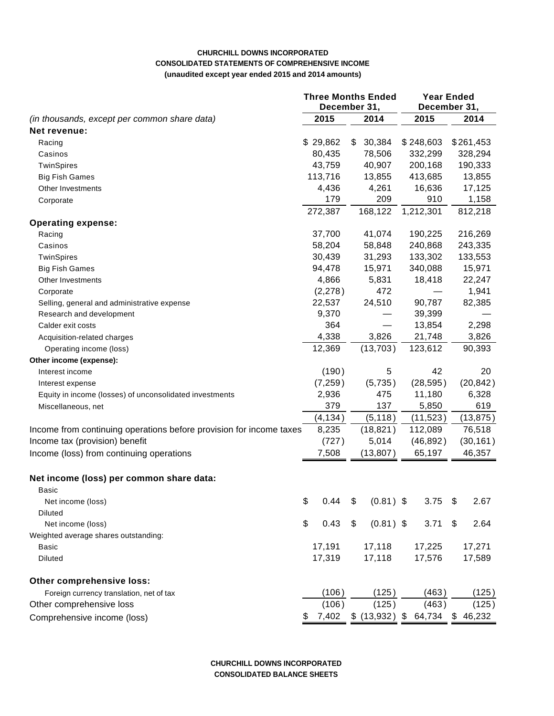#### **CHURCHILL DOWNS INCORPORATED CONSOLIDATED STATEMENTS OF COMPREHENSIVE INCOME (unaudited except year ended 2015 and 2014 amounts)**

|                                                                     |          | <b>Three Months Ended</b><br>December 31, |      |                  |       | <b>Year Ended</b><br>December 31, |      |           |  |
|---------------------------------------------------------------------|----------|-------------------------------------------|------|------------------|-------|-----------------------------------|------|-----------|--|
| (in thousands, except per common share data)                        | 2015     |                                           | 2014 |                  |       | 2015                              | 2014 |           |  |
| Net revenue:                                                        |          |                                           |      |                  |       |                                   |      |           |  |
| Racing                                                              | \$29,862 |                                           | \$   | 30,384           |       | \$248,603                         |      | \$261,453 |  |
| Casinos                                                             | 80,435   |                                           |      | 78,506           |       | 332,299                           |      | 328,294   |  |
| TwinSpires                                                          | 43,759   |                                           |      | 40,907           |       | 200,168                           |      | 190,333   |  |
| <b>Big Fish Games</b>                                               | 113,716  |                                           |      | 13,855           |       | 413,685                           |      | 13,855    |  |
| Other Investments                                                   |          | 4,436                                     |      | 4,261            |       | 16,636                            |      | 17,125    |  |
| Corporate                                                           |          | 179                                       |      | 209              |       | 910                               |      | 1,158     |  |
|                                                                     | 272,387  |                                           |      | 168,122          |       | 1,212,301                         |      | 812,218   |  |
| <b>Operating expense:</b>                                           |          |                                           |      |                  |       |                                   |      |           |  |
| Racing                                                              | 37,700   |                                           |      | 41,074           |       | 190,225                           |      | 216,269   |  |
| Casinos                                                             | 58,204   |                                           |      | 58,848           |       | 240,868                           |      | 243,335   |  |
| TwinSpires                                                          | 30,439   |                                           |      | 31,293           |       | 133,302                           |      | 133,553   |  |
| <b>Big Fish Games</b>                                               | 94,478   |                                           |      | 15,971           |       | 340,088                           |      | 15,971    |  |
| Other Investments                                                   |          | 4,866                                     |      | 5,831            |       | 18,418                            |      | 22,247    |  |
| Corporate                                                           |          | (2,278)                                   |      | 472              |       |                                   |      | 1,941     |  |
| Selling, general and administrative expense                         | 22,537   |                                           |      | 24,510           |       | 90,787                            |      | 82,385    |  |
| Research and development                                            |          | 9,370                                     |      |                  |       | 39,399                            |      |           |  |
| Calder exit costs                                                   |          | 364                                       |      |                  |       | 13,854                            |      | 2,298     |  |
| Acquisition-related charges                                         |          | 4,338                                     |      | 3,826            |       | 21,748                            |      | 3,826     |  |
| Operating income (loss)                                             | 12,369   |                                           |      | (13, 703)        |       | 123,612                           |      | 90,393    |  |
| Other income (expense):                                             |          |                                           |      |                  |       |                                   |      |           |  |
| Interest income                                                     |          | (190)                                     |      | 5                |       | 42                                |      | 20        |  |
| Interest expense                                                    |          | (7, 259)                                  |      | (5,735)          |       | (28, 595)                         |      | (20, 842) |  |
| Equity in income (losses) of unconsolidated investments             |          | 2,936                                     |      | 475              |       | 11,180                            |      | 6,328     |  |
| Miscellaneous, net                                                  |          | 379                                       | 137  |                  | 5,850 |                                   |      | 619       |  |
|                                                                     |          | (4, 134)                                  |      | (5, 118)         |       | (11, 523)                         |      | (13, 875) |  |
| Income from continuing operations before provision for income taxes |          | 8,235                                     |      | (18, 821)        |       | 112,089                           |      | 76,518    |  |
| Income tax (provision) benefit                                      |          | (727)                                     |      | 5,014            |       | (46, 892)                         |      | (30, 161) |  |
| Income (loss) from continuing operations                            |          | 7,508                                     |      | (13, 807)        |       | 65,197                            |      | 46,357    |  |
|                                                                     |          |                                           |      |                  |       |                                   |      |           |  |
| Net income (loss) per common share data:                            |          |                                           |      |                  |       |                                   |      |           |  |
| Basic                                                               |          |                                           |      |                  |       |                                   |      |           |  |
| Net income (loss)                                                   | \$       | 0.44                                      | \$   | $(0.81)$ \$      |       | 3.75                              | \$   | 2.67      |  |
| Diluted                                                             |          |                                           |      |                  |       |                                   |      |           |  |
| Net income (loss)                                                   | \$       | 0.43                                      | \$   | $(0.81)$ \$      |       | 3.71                              | \$   | 2.64      |  |
| Weighted average shares outstanding:                                |          |                                           |      |                  |       |                                   |      |           |  |
| Basic                                                               | 17,191   |                                           |      | 17,118           |       | 17,225                            |      | 17,271    |  |
| Diluted                                                             | 17,319   |                                           |      | 17,118           |       | 17,576                            |      | 17,589    |  |
| Other comprehensive loss:                                           |          |                                           |      |                  |       |                                   |      |           |  |
| Foreign currency translation, net of tax                            |          | (106)                                     |      | (125)            |       | (463)                             |      | (125)     |  |
| Other comprehensive loss                                            |          | (106)                                     |      | (125)            |       | (463)                             |      | (125)     |  |
| Comprehensive income (loss)                                         | \$       | 7,402                                     |      | $$$ (13,932) $$$ |       | 64,734                            |      | \$46,232  |  |

**CHURCHILL DOWNS INCORPORATED CONSOLIDATED BALANCE SHEETS**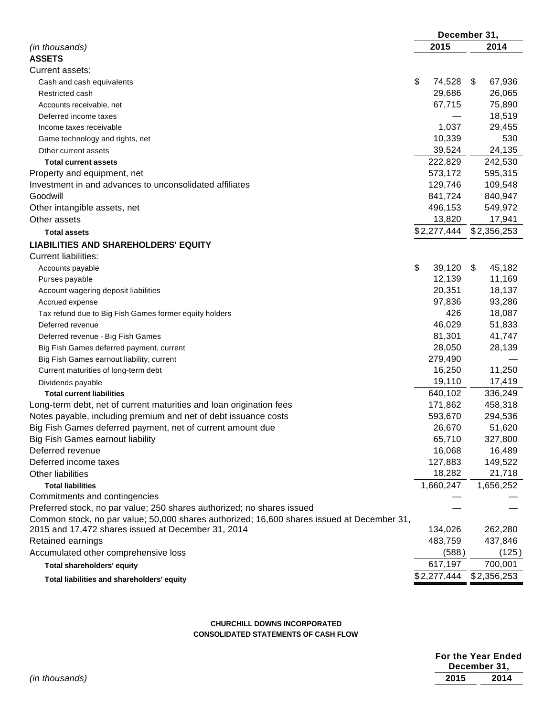|                                                                                            |              | December 31,  |
|--------------------------------------------------------------------------------------------|--------------|---------------|
| (in thousands)                                                                             | 2015         | 2014          |
| <b>ASSETS</b>                                                                              |              |               |
| Current assets:                                                                            |              |               |
| Cash and cash equivalents                                                                  | \$<br>74,528 | 67,936<br>-\$ |
| Restricted cash                                                                            | 29,686       | 26,065        |
| Accounts receivable, net                                                                   | 67,715       | 75,890        |
| Deferred income taxes                                                                      |              | 18,519        |
| Income taxes receivable                                                                    | 1,037        | 29,455        |
| Game technology and rights, net                                                            | 10,339       | 530           |
| Other current assets                                                                       | 39,524       | 24,135        |
| <b>Total current assets</b>                                                                | 222,829      | 242,530       |
| Property and equipment, net                                                                | 573,172      | 595,315       |
| Investment in and advances to unconsolidated affiliates                                    | 129,746      | 109,548       |
| Goodwill                                                                                   | 841,724      | 840,947       |
| Other intangible assets, net                                                               | 496,153      | 549,972       |
| Other assets                                                                               | 13,820       | 17,941        |
| <b>Total assets</b>                                                                        | \$2,277,444  | \$2,356,253   |
| <b>LIABILITIES AND SHAREHOLDERS' EQUITY</b>                                                |              |               |
| <b>Current liabilities:</b>                                                                |              |               |
| Accounts payable                                                                           | \$<br>39,120 | 45,182<br>\$  |
| Purses payable                                                                             | 12,139       | 11,169        |
| Account wagering deposit liabilities                                                       | 20,351       | 18,137        |
| Accrued expense                                                                            | 97,836       | 93,286        |
| Tax refund due to Big Fish Games former equity holders                                     | 426          | 18,087        |
| Deferred revenue                                                                           | 46,029       | 51,833        |
| Deferred revenue - Big Fish Games                                                          | 81,301       | 41,747        |
| Big Fish Games deferred payment, current                                                   | 28,050       | 28,139        |
| Big Fish Games earnout liability, current                                                  | 279,490      |               |
| Current maturities of long-term debt                                                       | 16,250       | 11,250        |
| Dividends payable                                                                          | 19,110       | 17,419        |
| <b>Total current liabilities</b>                                                           | 640,102      | 336,249       |
| Long-term debt, net of current maturities and loan origination fees                        | 171,862      | 458,318       |
| Notes payable, including premium and net of debt issuance costs                            | 593,670      | 294,536       |
| Big Fish Games deferred payment, net of current amount due                                 | 26,670       | 51,620        |
| Big Fish Games earnout liability                                                           | 65,710       | 327,800       |
| Deferred revenue                                                                           | 16,068       | 16,489        |
| Deferred income taxes                                                                      | 127,883      | 149,522       |
| <b>Other liabilities</b>                                                                   | 18,282       | 21,718        |
| <b>Total liabilities</b>                                                                   | 1,660,247    | 1,656,252     |
| Commitments and contingencies                                                              |              |               |
| Preferred stock, no par value; 250 shares authorized; no shares issued                     |              |               |
| Common stock, no par value; 50,000 shares authorized; 16,600 shares issued at December 31, |              |               |
| 2015 and 17,472 shares issued at December 31, 2014                                         | 134,026      | 262,280       |
| Retained earnings                                                                          | 483,759      | 437,846       |
| Accumulated other comprehensive loss                                                       | (588)        | (125)         |
| <b>Total shareholders' equity</b>                                                          | 617,197      | 700,001       |
| Total liabilities and shareholders' equity                                                 | \$2,277,444  | \$2,356,253   |

#### **CHURCHILL DOWNS INCORPORATED CONSOLIDATED STATEMENTS OF CASH FLOW**

|                |      | For the Year Ended<br>December 31, |
|----------------|------|------------------------------------|
| (in thousands) | 2015 | 2014                               |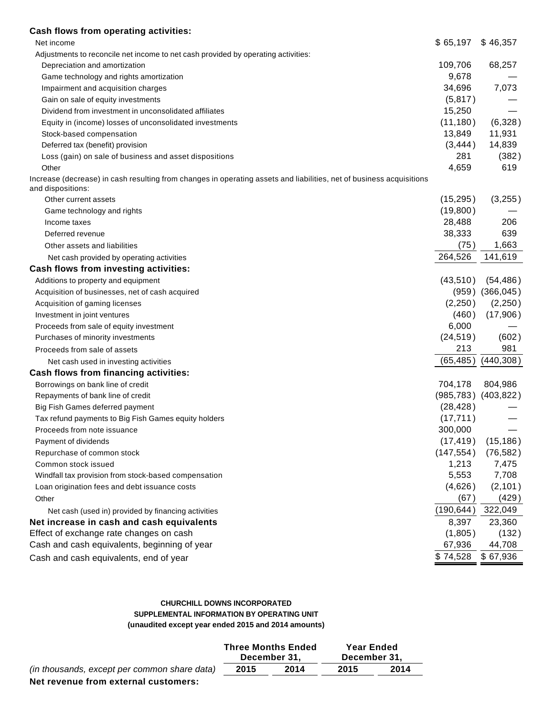| Cash flows from operating activities:                                                                                                     |            |                           |
|-------------------------------------------------------------------------------------------------------------------------------------------|------------|---------------------------|
| Net income                                                                                                                                | \$65,197   | \$46,357                  |
| Adjustments to reconcile net income to net cash provided by operating activities:                                                         |            |                           |
| Depreciation and amortization                                                                                                             | 109,706    | 68,257                    |
| Game technology and rights amortization                                                                                                   | 9,678      |                           |
| Impairment and acquisition charges                                                                                                        | 34,696     | 7,073                     |
| Gain on sale of equity investments                                                                                                        | (5, 817)   |                           |
| Dividend from investment in unconsolidated affiliates                                                                                     | 15,250     |                           |
| Equity in (income) losses of unconsolidated investments                                                                                   | (11, 180)  | (6,328)                   |
| Stock-based compensation                                                                                                                  | 13,849     | 11,931                    |
| Deferred tax (benefit) provision                                                                                                          | (3, 444)   | 14,839                    |
| Loss (gain) on sale of business and asset dispositions                                                                                    | 281        | (382)                     |
| Other                                                                                                                                     | 4,659      | 619                       |
| Increase (decrease) in cash resulting from changes in operating assets and liabilities, net of business acquisitions<br>and dispositions: |            |                           |
| Other current assets                                                                                                                      | (15, 295)  | (3,255)                   |
| Game technology and rights                                                                                                                | (19,800)   |                           |
| Income taxes                                                                                                                              | 28,488     | 206                       |
| Deferred revenue                                                                                                                          | 38,333     | 639                       |
| Other assets and liabilities                                                                                                              | (75)       | 1,663                     |
| Net cash provided by operating activities                                                                                                 | 264,526    | 141,619                   |
| Cash flows from investing activities:                                                                                                     |            |                           |
| Additions to property and equipment                                                                                                       | (43, 510)  | (54, 486)                 |
| Acquisition of businesses, net of cash acquired                                                                                           |            | $(959)$ $(366,045)$       |
| Acquisition of gaming licenses                                                                                                            | (2,250)    | (2,250)                   |
| Investment in joint ventures                                                                                                              | (460)      | (17,906)                  |
| Proceeds from sale of equity investment                                                                                                   | 6,000      |                           |
| Purchases of minority investments                                                                                                         | (24, 519)  | (602)                     |
| Proceeds from sale of assets                                                                                                              | 213        | 981                       |
| Net cash used in investing activities                                                                                                     | (65, 485)  | (440,308)                 |
| Cash flows from financing activities:                                                                                                     |            |                           |
| Borrowings on bank line of credit                                                                                                         | 704,178    | 804,986                   |
| Repayments of bank line of credit                                                                                                         |            | $(985, 783)$ $(403, 822)$ |
| Big Fish Games deferred payment                                                                                                           | (28, 428)  |                           |
| Tax refund payments to Big Fish Games equity holders                                                                                      | (17, 711)  |                           |
| Proceeds from note issuance                                                                                                               | 300,000    |                           |
| Payment of dividends                                                                                                                      | (17, 419)  | (15, 186)                 |
| Repurchase of common stock                                                                                                                | (147, 554) | (76, 582)                 |
| Common stock issued                                                                                                                       | 1,213      | 7,475                     |
| Windfall tax provision from stock-based compensation                                                                                      | 5,553      | 7,708                     |
| Loan origination fees and debt issuance costs                                                                                             | (4,626)    | (2, 101)                  |
| Other                                                                                                                                     | (67)       | (429)                     |
| Net cash (used in) provided by financing activities                                                                                       | (190, 644) | 322,049                   |
| Net increase in cash and cash equivalents                                                                                                 | 8,397      | 23,360                    |
| Effect of exchange rate changes on cash                                                                                                   | (1,805)    | (132)                     |
| Cash and cash equivalents, beginning of year                                                                                              | 67,936     | 44,708                    |
|                                                                                                                                           | \$74,528   | \$67,936                  |
| Cash and cash equivalents, end of year                                                                                                    |            |                           |

### **CHURCHILL DOWNS INCORPORATED SUPPLEMENTAL INFORMATION BY OPERATING UNIT (unaudited except year ended 2015 and 2014 amounts)**

|                                              |      | <b>Three Months Ended</b><br>December 31. | <b>Year Ended</b><br>December 31. |      |  |
|----------------------------------------------|------|-------------------------------------------|-----------------------------------|------|--|
| (in thousands, except per common share data) | 2015 | 2014                                      | 2015                              | 2014 |  |
| blat saysaniya fsano aytasoo al ayatanoonay  |      |                                           |                                   |      |  |

**Net revenue from external customers:**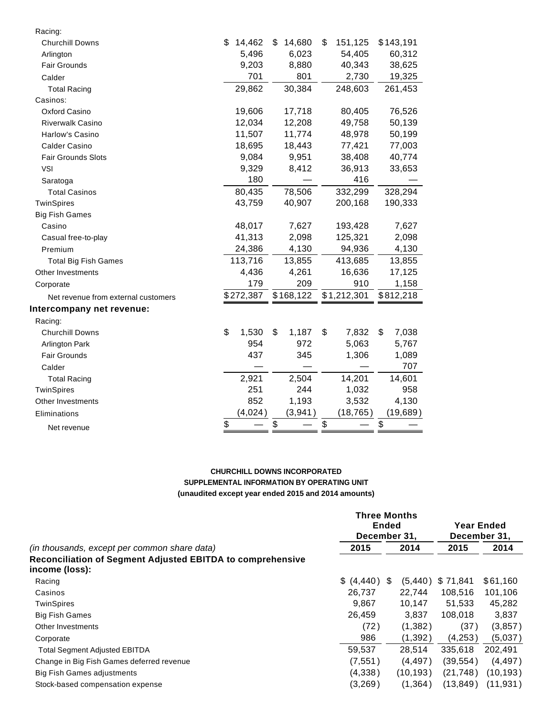| Racing:                             |              |              |               |             |
|-------------------------------------|--------------|--------------|---------------|-------------|
| <b>Churchill Downs</b>              | \$<br>14,462 | \$<br>14,680 | \$<br>151,125 | \$143,191   |
| Arlington                           | 5,496        | 6,023        | 54,405        | 60,312      |
| <b>Fair Grounds</b>                 | 9,203        | 8,880        | 40,343        | 38,625      |
| Calder                              | 701          | 801          | 2,730         | 19,325      |
| <b>Total Racing</b>                 | 29,862       | 30,384       | 248,603       | 261,453     |
| Casinos:                            |              |              |               |             |
| Oxford Casino                       | 19,606       | 17,718       | 80,405        | 76,526      |
| <b>Riverwalk Casino</b>             | 12,034       | 12,208       | 49,758        | 50,139      |
| Harlow's Casino                     | 11,507       | 11,774       | 48,978        | 50,199      |
| Calder Casino                       | 18,695       | 18,443       | 77,421        | 77,003      |
| Fair Grounds Slots                  | 9,084        | 9,951        | 38,408        | 40,774      |
| <b>VSI</b>                          | 9,329        | 8,412        | 36,913        | 33,653      |
| Saratoga                            | 180          |              | 416           |             |
| <b>Total Casinos</b>                | 80,435       | 78,506       | 332,299       | 328,294     |
| TwinSpires                          | 43,759       | 40,907       | 200,168       | 190,333     |
| <b>Big Fish Games</b>               |              |              |               |             |
| Casino                              | 48,017       | 7,627        | 193,428       | 7,627       |
| Casual free-to-play                 | 41,313       | 2,098        | 125,321       | 2,098       |
| Premium                             | 24,386       | 4,130        | 94,936        | 4,130       |
| <b>Total Big Fish Games</b>         | 113,716      | 13,855       | 413,685       | 13,855      |
| Other Investments                   | 4,436        | 4,261        | 16,636        | 17,125      |
| Corporate                           | 179          | 209          | 910           | 1,158       |
| Net revenue from external customers | \$272,387    | \$168,122    | \$1,212,301   | \$812,218   |
| Intercompany net revenue:           |              |              |               |             |
| Racing:                             |              |              |               |             |
| <b>Churchill Downs</b>              | \$<br>1,530  | \$<br>1,187  | \$<br>7,832   | \$<br>7,038 |
| <b>Arlington Park</b>               | 954          | 972          | 5,063         | 5,767       |
| <b>Fair Grounds</b>                 | 437          | 345          | 1,306         | 1,089       |
| Calder                              |              |              |               | 707         |
| <b>Total Racing</b>                 | 2,921        | 2,504        | 14,201        | 14,601      |
| TwinSpires                          | 251          | 244          | 1,032         | 958         |
| Other Investments                   | 852          | 1,193        | 3,532         | 4,130       |
| Eliminations                        | (4,024)      | (3,941)      | (18, 765)     | (19, 689)   |
| Net revenue                         | \$           | \$           | \$            | \$          |

#### **CHURCHILL DOWNS INCORPORATED SUPPLEMENTAL INFORMATION BY OPERATING UNIT (unaudited except year ended 2015 and 2014 amounts)**

|                                                                              |            | <b>Three Months</b> |                            |           |  |
|------------------------------------------------------------------------------|------------|---------------------|----------------------------|-----------|--|
|                                                                              |            | <b>Ended</b>        | Year Ended<br>December 31, |           |  |
|                                                                              |            | December 31,        |                            |           |  |
| (in thousands, except per common share data)                                 | 2015       | 2014                | 2015                       | 2014      |  |
| Reconciliation of Segment Adjusted EBITDA to comprehensive<br>income (loss): |            |                     |                            |           |  |
| Racing                                                                       | \$ (4,440) | \$.<br>(5, 440)     | \$71,841                   | \$61,160  |  |
| Casinos                                                                      | 26,737     | 22.744              | 108,516                    | 101,106   |  |
| <b>TwinSpires</b>                                                            | 9.867      | 10.147              | 51.533                     | 45,282    |  |
| <b>Big Fish Games</b>                                                        | 26,459     | 3,837               | 108,018                    | 3,837     |  |
| Other Investments                                                            | (72)       | (1, 382)            | (37)                       | (3, 857)  |  |
| Corporate                                                                    | 986        | (1, 392)            | (4,253)                    | (5,037)   |  |
| <b>Total Segment Adjusted EBITDA</b>                                         | 59.537     | 28.514              | 335.618                    | 202,491   |  |
| Change in Big Fish Games deferred revenue                                    | (7, 551)   | (4, 497)            | (39, 554)                  | (4, 497)  |  |
| Big Fish Games adjustments                                                   | (4,338)    | (10, 193)           | (21, 748)                  | (10, 193) |  |
| Stock-based compensation expense                                             | (3,269)    | (1, 364)            | (13, 849)                  | (11, 931) |  |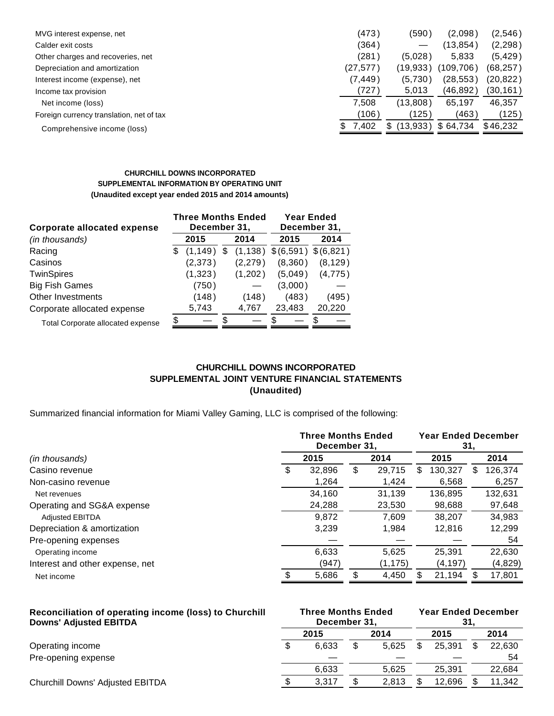| MVG interest expense, net                | (473)        | (590)           | (2.098)    | (2,546)   |
|------------------------------------------|--------------|-----------------|------------|-----------|
| Calder exit costs                        | (364)        |                 | (13,854)   | (2, 298)  |
| Other charges and recoveries, net        | (281)        | (5,028)         | 5,833      | (5, 429)  |
| Depreciation and amortization            | (27, 577)    | (19,933         | (109, 706) | (68, 257) |
| Interest income (expense), net           | (7, 449)     | (5,730)         | (28,553)   | (20, 822) |
| Income tax provision                     | (727`        | 5,013           | (46,892)   | (30,161)  |
| Net income (loss)                        | 7.508        | (13,808)        | 65,197     | 46,357    |
| Foreign currency translation, net of tax | (106)        | (125)           | (463)      | (125)     |
| Comprehensive income (loss)              | 7.402<br>\$. | (13,933)<br>\$. | \$64.734   | \$46.232  |
|                                          |              |                 |            |           |

#### **CHURCHILL DOWNS INCORPORATED SUPPLEMENTAL INFORMATION BY OPERATING UNIT (Unaudited except year ended 2015 and 2014 amounts)**

| <b>Corporate allocated expense</b>       |   | <b>Three Months Ended</b><br>December 31, |     |          | <b>Year Ended</b><br>December 31, |           |  |  |
|------------------------------------------|---|-------------------------------------------|-----|----------|-----------------------------------|-----------|--|--|
| (in thousands)                           |   | 2015                                      |     | 2014     | 2015                              | 2014      |  |  |
| Racing                                   | S | (1, 149)                                  | S   | (1, 138) | \$(6,591)                         | \$(6,821) |  |  |
| Casinos                                  |   | (2,373)                                   |     | (2,279)  | (8,360)                           | (8, 129)  |  |  |
| <b>TwinSpires</b>                        |   | (1, 323)                                  |     | (1,202)  | (5,049)                           | (4,775)   |  |  |
| <b>Big Fish Games</b>                    |   | (750)                                     |     |          | (3,000)                           |           |  |  |
| Other Investments                        |   | (148)                                     |     | (148)    | (483)                             | (495)     |  |  |
| Corporate allocated expense              |   | 5,743                                     |     | 4,767    | 23,483                            | 20,220    |  |  |
| <b>Total Corporate allocated expense</b> | S |                                           | \$. |          |                                   |           |  |  |

# **CHURCHILL DOWNS INCORPORATED SUPPLEMENTAL JOINT VENTURE FINANCIAL STATEMENTS (Unaudited)**

Summarized financial information for Miami Valley Gaming, LLC is comprised of the following:

|                                 | <b>Three Months Ended</b><br>December 31, |        |      |          | <b>Year Ended December</b><br>31, |          |   |         |
|---------------------------------|-------------------------------------------|--------|------|----------|-----------------------------------|----------|---|---------|
| (in thousands)                  | 2015                                      |        | 2014 |          | 2015                              |          |   | 2014    |
| Casino revenue                  | S                                         | 32,896 | \$   | 29.715   | S                                 | 130.327  | S | 126,374 |
| Non-casino revenue              |                                           | 1,264  |      | 1,424    |                                   | 6,568    |   | 6,257   |
| Net revenues                    |                                           | 34.160 |      | 31.139   |                                   | 136.895  |   | 132,631 |
| Operating and SG&A expense      |                                           | 24,288 |      | 23,530   |                                   | 98,688   |   | 97,648  |
| <b>Adjusted EBITDA</b>          |                                           | 9,872  |      | 7.609    |                                   | 38.207   |   | 34,983  |
| Depreciation & amortization     |                                           | 3,239  |      | 1,984    |                                   | 12,816   |   | 12,299  |
| Pre-opening expenses            |                                           |        |      |          |                                   |          |   | 54      |
| Operating income                |                                           | 6,633  |      | 5,625    |                                   | 25,391   |   | 22,630  |
| Interest and other expense, net |                                           | (947)  |      | (1, 175) |                                   | (4, 197) |   | (4,829) |
| Net income                      |                                           | 5,686  |      | 4,450    |                                   | 21,194   |   | 17,801  |

| Reconciliation of operating income (loss) to Churchill<br><b>Downs' Adjusted EBITDA</b> | <b>Three Months Ended</b><br>December 31. |              |  |       | <b>Year Ended December</b><br>31 |        |  |        |  |
|-----------------------------------------------------------------------------------------|-------------------------------------------|--------------|--|-------|----------------------------------|--------|--|--------|--|
|                                                                                         |                                           | 2014<br>2015 |  |       |                                  | 2015   |  | 2014   |  |
| Operating income                                                                        |                                           | 6.633        |  | 5.625 |                                  | 25.391 |  | 22,630 |  |
| Pre-opening expense                                                                     |                                           |              |  |       |                                  |        |  | 54     |  |
|                                                                                         |                                           | 6.633        |  | 5.625 |                                  | 25.391 |  | 22,684 |  |
| <b>Churchill Downs' Adjusted EBITDA</b>                                                 |                                           | 3.317        |  | 2.813 |                                  | 12.696 |  | 11.342 |  |